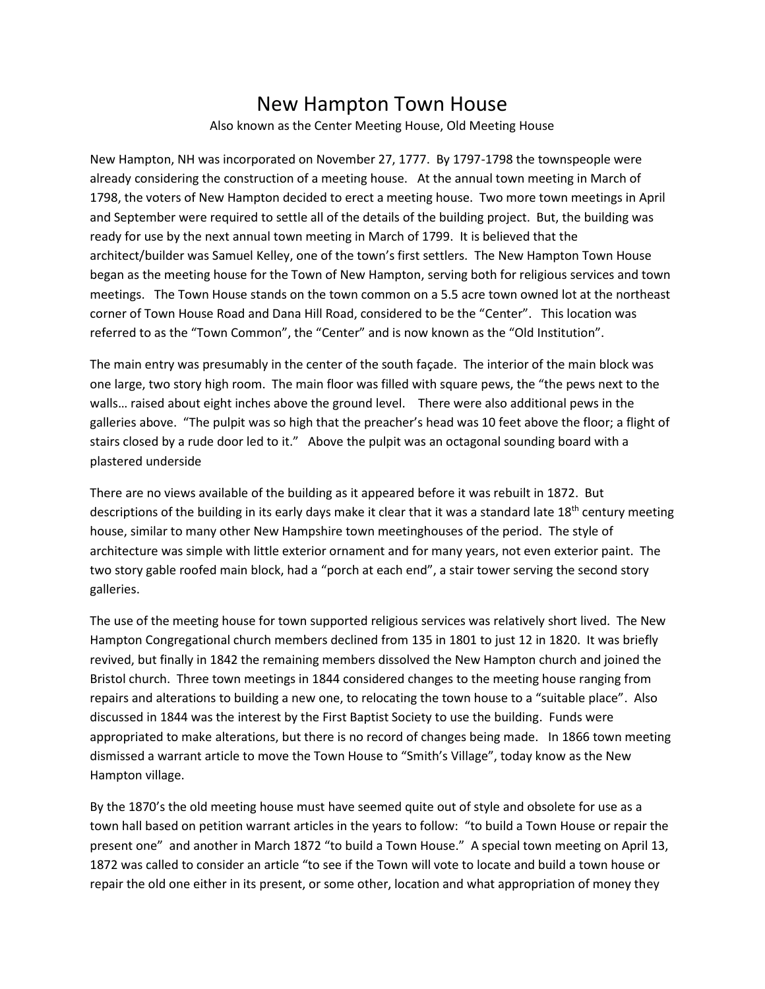## New Hampton Town House

Also known as the Center Meeting House, Old Meeting House

New Hampton, NH was incorporated on November 27, 1777. By 1797-1798 the townspeople were already considering the construction of a meeting house. At the annual town meeting in March of 1798, the voters of New Hampton decided to erect a meeting house. Two more town meetings in April and September were required to settle all of the details of the building project. But, the building was ready for use by the next annual town meeting in March of 1799. It is believed that the architect/builder was Samuel Kelley, one of the town's first settlers. The New Hampton Town House began as the meeting house for the Town of New Hampton, serving both for religious services and town meetings. The Town House stands on the town common on a 5.5 acre town owned lot at the northeast corner of Town House Road and Dana Hill Road, considered to be the "Center". This location was referred to as the "Town Common", the "Center" and is now known as the "Old Institution".

The main entry was presumably in the center of the south façade. The interior of the main block was one large, two story high room. The main floor was filled with square pews, the "the pews next to the walls… raised about eight inches above the ground level. There were also additional pews in the galleries above. "The pulpit was so high that the preacher's head was 10 feet above the floor; a flight of stairs closed by a rude door led to it." Above the pulpit was an octagonal sounding board with a plastered underside

There are no views available of the building as it appeared before it was rebuilt in 1872. But descriptions of the building in its early days make it clear that it was a standard late 18<sup>th</sup> century meeting house, similar to many other New Hampshire town meetinghouses of the period. The style of architecture was simple with little exterior ornament and for many years, not even exterior paint. The two story gable roofed main block, had a "porch at each end", a stair tower serving the second story galleries.

The use of the meeting house for town supported religious services was relatively short lived. The New Hampton Congregational church members declined from 135 in 1801 to just 12 in 1820. It was briefly revived, but finally in 1842 the remaining members dissolved the New Hampton church and joined the Bristol church. Three town meetings in 1844 considered changes to the meeting house ranging from repairs and alterations to building a new one, to relocating the town house to a "suitable place". Also discussed in 1844 was the interest by the First Baptist Society to use the building. Funds were appropriated to make alterations, but there is no record of changes being made. In 1866 town meeting dismissed a warrant article to move the Town House to "Smith's Village", today know as the New Hampton village.

By the 1870's the old meeting house must have seemed quite out of style and obsolete for use as a town hall based on petition warrant articles in the years to follow: "to build a Town House or repair the present one" and another in March 1872 "to build a Town House." A special town meeting on April 13, 1872 was called to consider an article "to see if the Town will vote to locate and build a town house or repair the old one either in its present, or some other, location and what appropriation of money they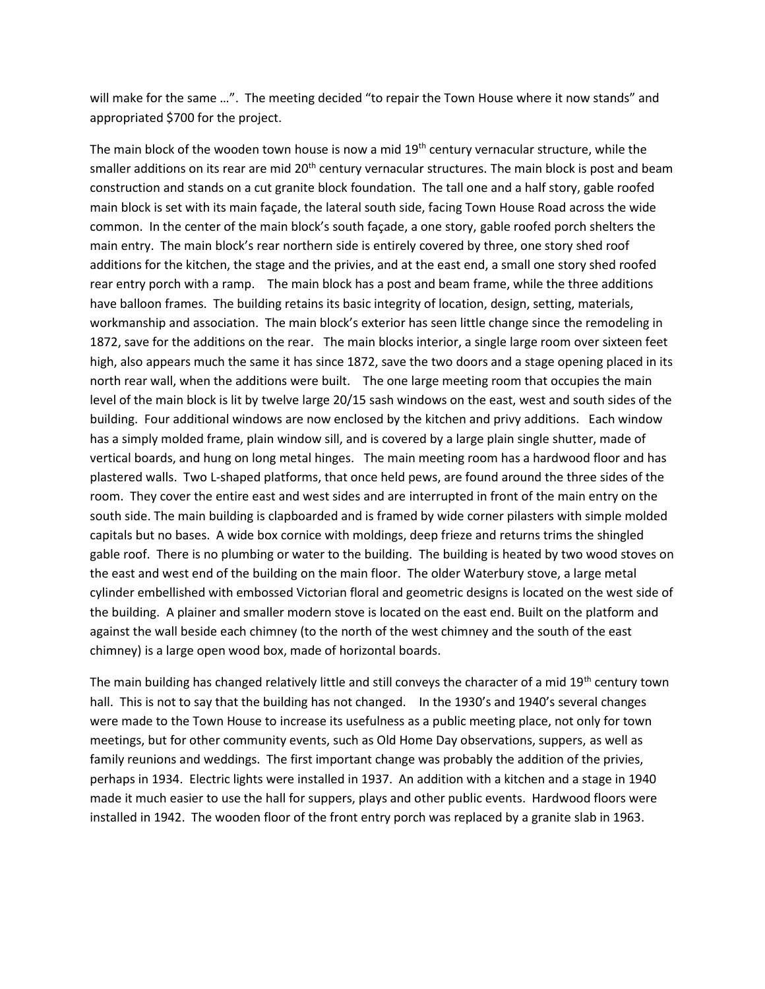will make for the same …". The meeting decided "to repair the Town House where it now stands" and appropriated \$700 for the project.

The main block of the wooden town house is now a mid  $19<sup>th</sup>$  century vernacular structure, while the smaller additions on its rear are mid 20<sup>th</sup> century vernacular structures. The main block is post and beam construction and stands on a cut granite block foundation. The tall one and a half story, gable roofed main block is set with its main façade, the lateral south side, facing Town House Road across the wide common. In the center of the main block's south façade, a one story, gable roofed porch shelters the main entry. The main block's rear northern side is entirely covered by three, one story shed roof additions for the kitchen, the stage and the privies, and at the east end, a small one story shed roofed rear entry porch with a ramp. The main block has a post and beam frame, while the three additions have balloon frames. The building retains its basic integrity of location, design, setting, materials, workmanship and association. The main block's exterior has seen little change since the remodeling in 1872, save for the additions on the rear. The main blocks interior, a single large room over sixteen feet high, also appears much the same it has since 1872, save the two doors and a stage opening placed in its north rear wall, when the additions were built. The one large meeting room that occupies the main level of the main block is lit by twelve large 20/15 sash windows on the east, west and south sides of the building. Four additional windows are now enclosed by the kitchen and privy additions. Each window has a simply molded frame, plain window sill, and is covered by a large plain single shutter, made of vertical boards, and hung on long metal hinges. The main meeting room has a hardwood floor and has plastered walls. Two L-shaped platforms, that once held pews, are found around the three sides of the room. They cover the entire east and west sides and are interrupted in front of the main entry on the south side. The main building is clapboarded and is framed by wide corner pilasters with simple molded capitals but no bases. A wide box cornice with moldings, deep frieze and returns trims the shingled gable roof. There is no plumbing or water to the building. The building is heated by two wood stoves on the east and west end of the building on the main floor. The older Waterbury stove, a large metal cylinder embellished with embossed Victorian floral and geometric designs is located on the west side of the building. A plainer and smaller modern stove is located on the east end. Built on the platform and against the wall beside each chimney (to the north of the west chimney and the south of the east chimney) is a large open wood box, made of horizontal boards.

The main building has changed relatively little and still conveys the character of a mid 19<sup>th</sup> century town hall. This is not to say that the building has not changed. In the 1930's and 1940's several changes were made to the Town House to increase its usefulness as a public meeting place, not only for town meetings, but for other community events, such as Old Home Day observations, suppers, as well as family reunions and weddings. The first important change was probably the addition of the privies, perhaps in 1934. Electric lights were installed in 1937. An addition with a kitchen and a stage in 1940 made it much easier to use the hall for suppers, plays and other public events. Hardwood floors were installed in 1942. The wooden floor of the front entry porch was replaced by a granite slab in 1963.